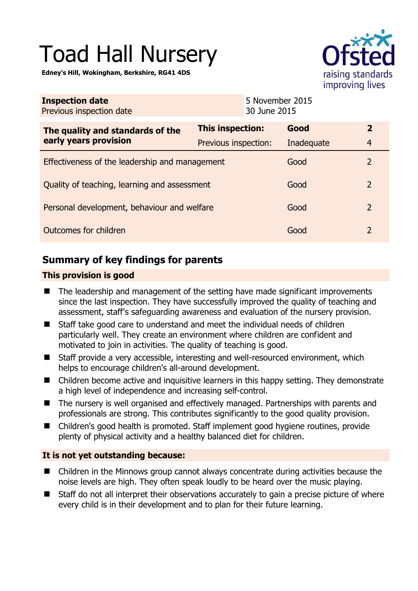# Toad Hall Nursery

**Edney's Hill, Wokingham, Berkshire, RG41 4DS** 



| <b>Inspection date</b><br>Previous inspection date |                      | 5 November 2015<br>30 June 2015 |            |                |
|----------------------------------------------------|----------------------|---------------------------------|------------|----------------|
| The quality and standards of the                   | This inspection:     |                                 | Good       | $\overline{2}$ |
| early years provision                              | Previous inspection: |                                 | Inadequate | $\overline{4}$ |
| Effectiveness of the leadership and management     |                      |                                 | Good       | 2              |
| Quality of teaching, learning and assessment       |                      |                                 | Good       | $\overline{2}$ |
| Personal development, behaviour and welfare        |                      |                                 | Good       | 2              |
| Outcomes for children                              |                      |                                 | Good       | $\overline{2}$ |

# **Summary of key findings for parents**

## **This provision is good**

- The leadership and management of the setting have made significant improvements since the last inspection. They have successfully improved the quality of teaching and assessment, staff's safeguarding awareness and evaluation of the nursery provision.
- Staff take good care to understand and meet the individual needs of children particularly well. They create an environment where children are confident and motivated to join in activities. The quality of teaching is good.
- Staff provide a very accessible, interesting and well-resourced environment, which helps to encourage children's all-around development.
- Children become active and inquisitive learners in this happy setting. They demonstrate a high level of independence and increasing self-control.
- The nursery is well organised and effectively managed. Partnerships with parents and professionals are strong. This contributes significantly to the good quality provision.
- Children's good health is promoted. Staff implement good hygiene routines, provide plenty of physical activity and a healthy balanced diet for children.

## **It is not yet outstanding because:**

- Children in the Minnows group cannot always concentrate during activities because the noise levels are high. They often speak loudly to be heard over the music playing.
- Staff do not all interpret their observations accurately to gain a precise picture of where every child is in their development and to plan for their future learning.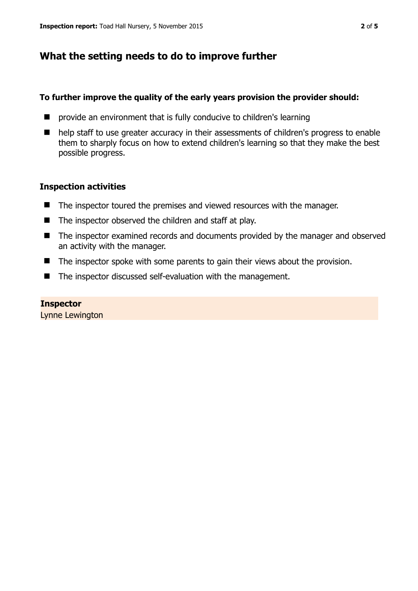## **What the setting needs to do to improve further**

#### **To further improve the quality of the early years provision the provider should:**

- **E** provide an environment that is fully conducive to children's learning
- help staff to use greater accuracy in their assessments of children's progress to enable them to sharply focus on how to extend children's learning so that they make the best possible progress.

#### **Inspection activities**

- The inspector toured the premises and viewed resources with the manager.
- $\blacksquare$  The inspector observed the children and staff at play.
- The inspector examined records and documents provided by the manager and observed an activity with the manager.
- $\blacksquare$  The inspector spoke with some parents to gain their views about the provision.
- The inspector discussed self-evaluation with the management.

**Inspector**  Lynne Lewington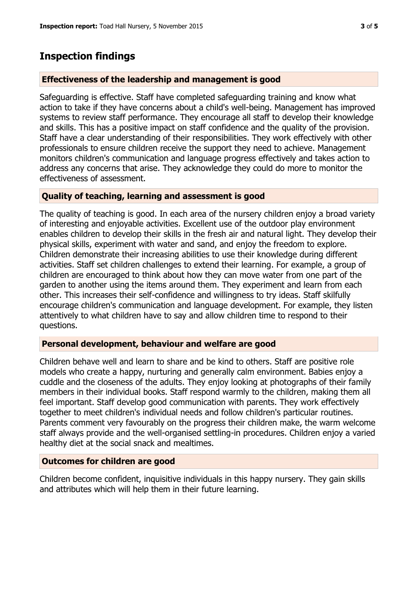## **Inspection findings**

## **Effectiveness of the leadership and management is good**

Safeguarding is effective. Staff have completed safeguarding training and know what action to take if they have concerns about a child's well-being. Management has improved systems to review staff performance. They encourage all staff to develop their knowledge and skills. This has a positive impact on staff confidence and the quality of the provision. Staff have a clear understanding of their responsibilities. They work effectively with other professionals to ensure children receive the support they need to achieve. Management monitors children's communication and language progress effectively and takes action to address any concerns that arise. They acknowledge they could do more to monitor the effectiveness of assessment.

#### **Quality of teaching, learning and assessment is good**

The quality of teaching is good. In each area of the nursery children enjoy a broad variety of interesting and enjoyable activities. Excellent use of the outdoor play environment enables children to develop their skills in the fresh air and natural light. They develop their physical skills, experiment with water and sand, and enjoy the freedom to explore. Children demonstrate their increasing abilities to use their knowledge during different activities. Staff set children challenges to extend their learning. For example, a group of children are encouraged to think about how they can move water from one part of the garden to another using the items around them. They experiment and learn from each other. This increases their self-confidence and willingness to try ideas. Staff skilfully encourage children's communication and language development. For example, they listen attentively to what children have to say and allow children time to respond to their questions.

## **Personal development, behaviour and welfare are good**

Children behave well and learn to share and be kind to others. Staff are positive role models who create a happy, nurturing and generally calm environment. Babies enjoy a cuddle and the closeness of the adults. They enjoy looking at photographs of their family members in their individual books. Staff respond warmly to the children, making them all feel important. Staff develop good communication with parents. They work effectively together to meet children's individual needs and follow children's particular routines. Parents comment very favourably on the progress their children make, the warm welcome staff always provide and the well-organised settling-in procedures. Children enjoy a varied healthy diet at the social snack and mealtimes.

#### **Outcomes for children are good**

Children become confident, inquisitive individuals in this happy nursery. They gain skills and attributes which will help them in their future learning.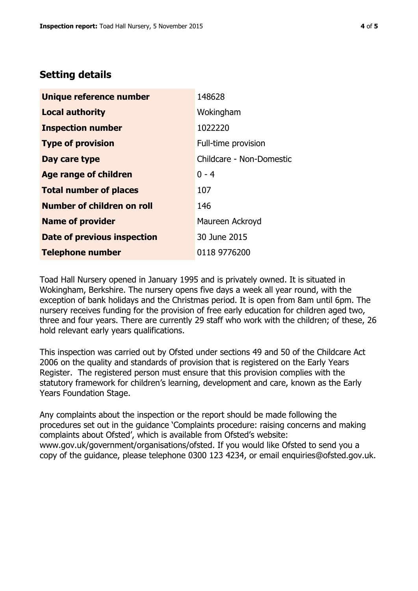## **Setting details**

| Unique reference number       | 148628                   |  |  |
|-------------------------------|--------------------------|--|--|
| <b>Local authority</b>        | Wokingham                |  |  |
| <b>Inspection number</b>      | 1022220                  |  |  |
| <b>Type of provision</b>      | Full-time provision      |  |  |
| Day care type                 | Childcare - Non-Domestic |  |  |
| <b>Age range of children</b>  | $0 - 4$                  |  |  |
| <b>Total number of places</b> | 107                      |  |  |
| Number of children on roll    | 146                      |  |  |
| <b>Name of provider</b>       | Maureen Ackroyd          |  |  |
| Date of previous inspection   | 30 June 2015             |  |  |
| <b>Telephone number</b>       | 0118 9776200             |  |  |

Toad Hall Nursery opened in January 1995 and is privately owned. It is situated in Wokingham, Berkshire. The nursery opens five days a week all year round, with the exception of bank holidays and the Christmas period. It is open from 8am until 6pm. The nursery receives funding for the provision of free early education for children aged two, three and four years. There are currently 29 staff who work with the children; of these, 26 hold relevant early years qualifications.

This inspection was carried out by Ofsted under sections 49 and 50 of the Childcare Act 2006 on the quality and standards of provision that is registered on the Early Years Register. The registered person must ensure that this provision complies with the statutory framework for children's learning, development and care, known as the Early Years Foundation Stage.

Any complaints about the inspection or the report should be made following the procedures set out in the guidance 'Complaints procedure: raising concerns and making complaints about Ofsted', which is available from Ofsted's website: www.gov.uk/government/organisations/ofsted. If you would like Ofsted to send you a copy of the guidance, please telephone 0300 123 4234, or email enquiries@ofsted.gov.uk.